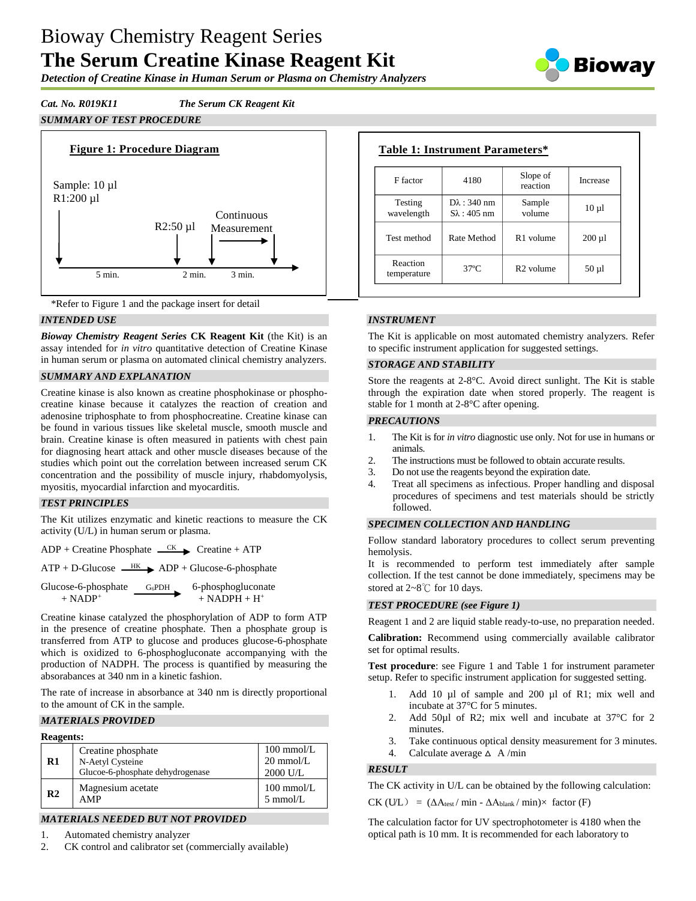# Bioway Chemistry Reagent Series **The Serum Creatine Kinase Reagent Kit**

Biowav

*Detection of Creatine Kinase in Human Serum or Plasma on Chemistry Analyzers*

# *Cat. No. R019K11 The Serum CK Reagent Kit SUMMARY OF TEST PROCEDURE*





# *INTENDED USE*

*Bioway Chemistry Reagent Series* **CK Reagent Kit** (the Kit) is an assay intended for *in vitro* quantitative detection of Creatine Kinase in human serum or plasma on automated clinical chemistry analyzers.

### *SUMMARY AND EXPLANATION*

Creatine kinase is also known as creatine phosphokinase or phosphocreatine kinase because it catalyzes the reaction of creation and adenosine triphosphate to from phosphocreatine. Creatine kinase can be found in various tissues like skeletal muscle, smooth muscle and brain. Creatine kinase is often measured in patients with chest pain for diagnosing heart attack and other muscle diseases because of the studies which point out the correlation between increased serum CK concentration and the possibility of muscle injury, rhabdomyolysis, myositis, myocardial infarction and myocarditis.

# *TEST PRINCIPLES*

The Kit utilizes enzymatic and kinetic reactions to measure the CK activity (U/L) in human serum or plasma.

 $ADP +$ Creatine Phosphate  $\overline{CK}$  Creatine + ATP

 $ATP + D-Glucose \xrightarrow{HK} ADP + Glucose-6-phosphate$ 

| Glucose-6-phosphate   | $G_6$ PDH | 6-phosphogluconate                        |
|-----------------------|-----------|-------------------------------------------|
| $+$ NADP <sup>+</sup> |           | $+$ NADPH $+$ H <sup><math>+</math></sup> |

Creatine kinase catalyzed the phosphorylation of ADP to form ATP in the presence of creatine phosphate. Then a phosphate group is transferred from ATP to glucose and produces glucose-6-phosphate which is oxidized to 6-phosphogluconate accompanying with the production of NADPH. The process is quantified by measuring the absorabances at 340 nm in a kinetic fashion.

The rate of increase in absorbance at 340 nm is directly proportional to the amount of CK in the sample.

### *MATERIALS PROVIDED*

#### **Reagents:**

| $\mathbf{R}1$  | Creatine phosphate<br>N-Aetyl Cysteine<br>Glucoe-6-phosphate dehydrogenase | $100$ mmol/L<br>$20 \text{ mmol/L}$<br>2000 U/L |
|----------------|----------------------------------------------------------------------------|-------------------------------------------------|
| R <sub>2</sub> | Magnesium acetate<br>AMP                                                   | $100 \text{ mmol/L}$<br>$5 \text{ mmol/L}$      |

# *MATERIALS NEEDED BUT NOT PROVIDED*

1. Automated chemistry analyzer

2. CK control and calibrator set (commercially available)

| F factor                | 4180                                          | Slope of<br>reaction  | Increase    |
|-------------------------|-----------------------------------------------|-----------------------|-------------|
| Testing<br>wavelength   | $D\lambda$ : 340 nm<br>$S_{\lambda}$ : 405 nm | Sample<br>volume      | $10 \mu l$  |
| Test method             | Rate Method                                   | R <sub>1</sub> volume | $200 \mu l$ |
| Reaction<br>temperature | $37^\circ$ C                                  | R <sub>2</sub> volume | $50 \mu l$  |

# *INSTRUMENT*

The Kit is applicable on most automated chemistry analyzers. Refer to specific instrument application for suggested settings.

### *STORAGE AND STABILITY*

Store the reagents at 2-8°C. Avoid direct sunlight. The Kit is stable through the expiration date when stored properly. The reagent is stable for 1 month at 2-8°C after opening.

#### *PRECAUTIONS*

- 1. The Kit is for *in vitro* diagnostic use only. Not for use in humans or animals.
- 2. The instructions must be followed to obtain accurate results.
- 3. Do not use the reagents beyond the expiration date.
- 4. Treat all specimens as infectious. Proper handling and disposal procedures of specimens and test materials should be strictly followed.

# *SPECIMEN COLLECTION AND HANDLING*

Follow standard laboratory procedures to collect serum preventing hemolysis.

It is recommended to perform test immediately after sample collection. If the test cannot be done immediately, specimens may be stored at 2~8℃ for 10 days.

### *TEST PROCEDURE (see Figure 1)*

Reagent 1 and 2 are liquid stable ready-to-use, no preparation needed.

**Calibration:** Recommend using commercially available calibrator set for optimal results.

**Test procedure**: see Figure 1 and Table 1 for instrument parameter setup. Refer to specific instrument application for suggested setting.

- 1. Add 10 µl of sample and 200 µl of R1; mix well and incubate at 37°C for 5 minutes.
- 2. Add 50µl of R2; mix well and incubate at 37°C for 2 minutes.
- 3. Take continuous optical density measurement for 3 minutes.
- 4. Calculate average  $\triangle$  A/min

# *RESULT*

The CK activity in U/L can be obtained by the following calculation:

 $CK$  (U/L) = ( $\Delta A_{\text{test}}/$  min -  $\Delta A_{\text{blank}}/$  min) $\times$  factor (F)

The calculation factor for UV spectrophotometer is 4180 when the optical path is 10 mm. It is recommended for each laboratory to